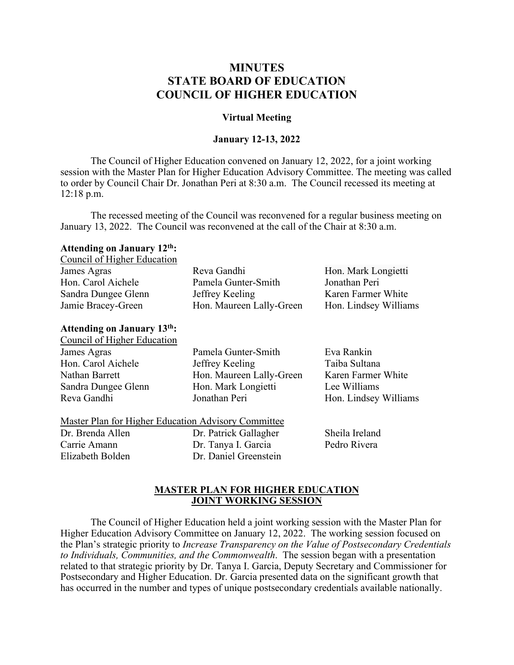# **MINUTES STATE BOARD OF EDUCATION COUNCIL OF HIGHER EDUCATION**

### **Virtual Meeting**

### **January 12-13, 2022**

The Council of Higher Education convened on January 12, 2022, for a joint working session with the Master Plan for Higher Education Advisory Committee. The meeting was called to order by Council Chair Dr. Jonathan Peri at 8:30 a.m. The Council recessed its meeting at 12:18 p.m.

The recessed meeting of the Council was reconvened for a regular business meeting on January 13, 2022. The Council was reconvened at the call of the Chair at 8:30 a.m.

#### **Attending on January 12th:**  $Convol$  of Higher Education

| Reva Gandhi              | Hon. Mark Longietti   |
|--------------------------|-----------------------|
| Pamela Gunter-Smith      | Jonathan Peri         |
| Jeffrey Keeling          | Karen Farmer White    |
| Hon. Maureen Lally-Green | Hon. Lindsey Williams |
|                          |                       |

#### **Attending on January 13th:** Council of Higher Education

| James Agras         | Pamela Gunter-Smith      | Eva Rankin            |
|---------------------|--------------------------|-----------------------|
| Hon. Carol Aichele  | Jeffrey Keeling          | Taiba Sultana         |
| Nathan Barrett      | Hon. Maureen Lally-Green | Karen Farmer White    |
| Sandra Dungee Glenn | Hon. Mark Longietti      | Lee Williams          |
| Reva Gandhi         | Jonathan Peri            | Hon. Lindsey Williams |
|                     |                          |                       |

#### Master Plan for Higher Education Advisory Committee

Dr. Brenda Allen Carrie Amann Elizabeth Bolden

Dr. Patrick Gallagher Dr. Tanya I. Garcia Dr. Daniel Greenstein Sheila Ireland Pedro Rivera

### **MASTER PLAN FOR HIGHER EDUCATION JOINT WORKING SESSION**

The Council of Higher Education held a joint working session with the Master Plan for Higher Education Advisory Committee on January 12, 2022. The working session focused on the Plan's strategic priority to *Increase Transparency on the Value of Postsecondary Credentials to Individuals, Communities, and the Commonwealth*. The session began with a presentation related to that strategic priority by Dr. Tanya I. Garcia, Deputy Secretary and Commissioner for Postsecondary and Higher Education. Dr. Garcia presented data on the significant growth that has occurred in the number and types of unique postsecondary credentials available nationally.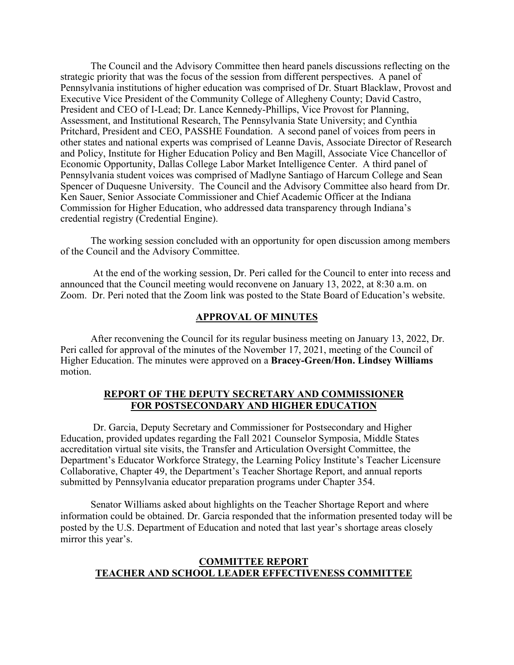The Council and the Advisory Committee then heard panels discussions reflecting on the strategic priority that was the focus of the session from different perspectives. A panel of Pennsylvania institutions of higher education was comprised of Dr. Stuart Blacklaw, Provost and Executive Vice President of the Community College of Allegheny County; David Castro, President and CEO of I-Lead; Dr. Lance Kennedy-Phillips, Vice Provost for Planning, Assessment, and Institutional Research, The Pennsylvania State University; and Cynthia Pritchard, President and CEO, PASSHE Foundation. A second panel of voices from peers in other states and national experts was comprised of Leanne Davis, Associate Director of Research and Policy, Institute for Higher Education Policy and Ben Magill, Associate Vice Chancellor of Economic Opportunity, Dallas College Labor Market Intelligence Center. A third panel of Pennsylvania student voices was comprised of Madlyne Santiago of Harcum College and Sean Spencer of Duquesne University. The Council and the Advisory Committee also heard from Dr. Ken Sauer, Senior Associate Commissioner and Chief Academic Officer at the Indiana Commission for Higher Education, who addressed data transparency through Indiana's credential registry (Credential Engine).

The working session concluded with an opportunity for open discussion among members of the Council and the Advisory Committee.

At the end of the working session, Dr. Peri called for the Council to enter into recess and announced that the Council meeting would reconvene on January 13, 2022, at 8:30 a.m. on Zoom. Dr. Peri noted that the Zoom link was posted to the State Board of Education's website.

#### **APPROVAL OF MINUTES**

After reconvening the Council for its regular business meeting on January 13, 2022, Dr. Peri called for approval of the minutes of the November 17, 2021, meeting of the Council of Higher Education. The minutes were approved on a **Bracey-Green/Hon. Lindsey Williams**  motion.

## **REPORT OF THE DEPUTY SECRETARY AND COMMISSIONER FOR POSTSECONDARY AND HIGHER EDUCATION**

Dr. Garcia, Deputy Secretary and Commissioner for Postsecondary and Higher Education, provided updates regarding the Fall 2021 Counselor Symposia, Middle States accreditation virtual site visits, the Transfer and Articulation Oversight Committee, the Department's Educator Workforce Strategy, the Learning Policy Institute's Teacher Licensure Collaborative, Chapter 49, the Department's Teacher Shortage Report, and annual reports submitted by Pennsylvania educator preparation programs under Chapter 354.

Senator Williams asked about highlights on the Teacher Shortage Report and where information could be obtained. Dr. Garcia responded that the information presented today will be posted by the U.S. Department of Education and noted that last year's shortage areas closely mirror this year's.

## **COMMITTEE REPORT TEACHER AND SCHOOL LEADER EFFECTIVENESS COMMITTEE**